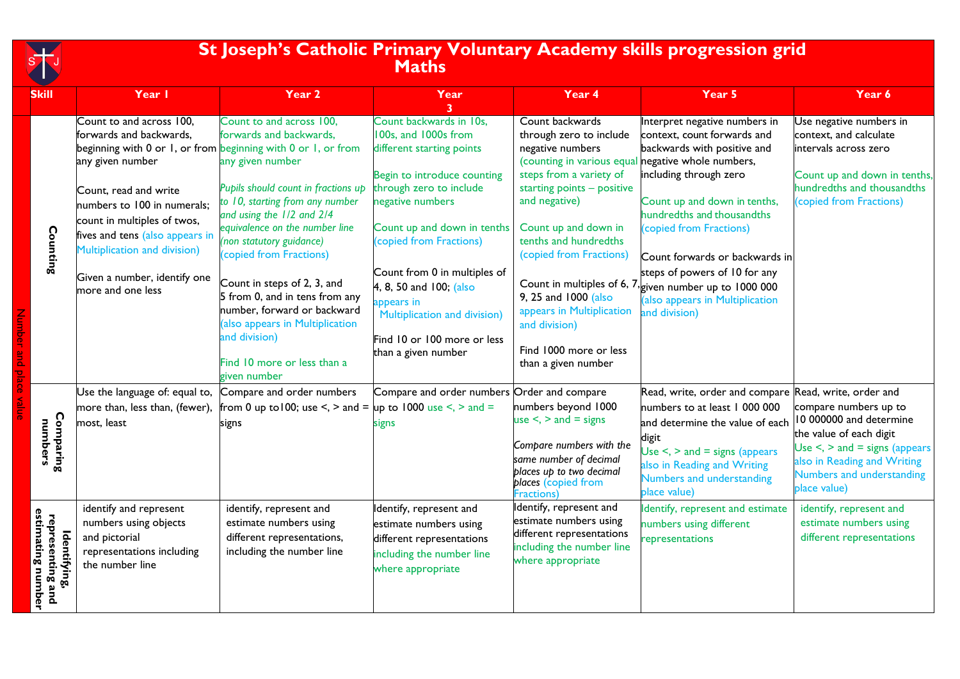

Number and place value

## **St Joseph's Catholic Primary Voluntary Academy skills progression grid Maths**

| <b>Skill</b>                                                                  | Year I                                                                                                                                                                                                                                                                                                                                                  | Year 2                                                                                                                                                                                                                                                                                                                                                                                                                                                                     | Year                                                                                                                                                                                                                                                                                                                                                                                | Year 4                                                                                                                                                                                                                                                                                                                                                                                            | Year 5                                                                                                                                                                                                                                                                                                                                                                                                       | Year 6                                                                                                                                                                                                                                                   |
|-------------------------------------------------------------------------------|---------------------------------------------------------------------------------------------------------------------------------------------------------------------------------------------------------------------------------------------------------------------------------------------------------------------------------------------------------|----------------------------------------------------------------------------------------------------------------------------------------------------------------------------------------------------------------------------------------------------------------------------------------------------------------------------------------------------------------------------------------------------------------------------------------------------------------------------|-------------------------------------------------------------------------------------------------------------------------------------------------------------------------------------------------------------------------------------------------------------------------------------------------------------------------------------------------------------------------------------|---------------------------------------------------------------------------------------------------------------------------------------------------------------------------------------------------------------------------------------------------------------------------------------------------------------------------------------------------------------------------------------------------|--------------------------------------------------------------------------------------------------------------------------------------------------------------------------------------------------------------------------------------------------------------------------------------------------------------------------------------------------------------------------------------------------------------|----------------------------------------------------------------------------------------------------------------------------------------------------------------------------------------------------------------------------------------------------------|
| Counting                                                                      | Count to and across 100,<br>forwards and backwards,<br>beginning with 0 or 1, or from beginning with 0 or 1, or from<br>any given number<br>Count, read and write<br>numbers to 100 in numerals;<br>count in multiples of twos,<br>fives and tens (also appears in<br>Multiplication and division)<br>Given a number, identify one<br>more and one less | Count to and across 100,<br>forwards and backwards,<br>any given number<br>Pupils should count in fractions up<br>to 10, starting from any number<br>and using the 1/2 and 2/4<br>equivalence on the number line<br>(non statutory guidance)<br>(copied from Fractions)<br>Count in steps of 2, 3, and<br>5 from 0, and in tens from any<br>number, forward or backward<br>(also appears in Multiplication<br>and division)<br>Find 10 more or less than a<br>given number | Count backwards in 10s,<br>100s, and 1000s from<br>different starting points<br>Begin to introduce counting<br>through zero to include<br>negative numbers<br>Count up and down in tenths<br>(copied from Fractions)<br>Count from 0 in multiples of<br>4, 8, 50 and 100; (also<br>appears in<br>Multiplication and division)<br>Find 10 or 100 more or less<br>than a given number | Count backwards<br>through zero to include<br>negative numbers<br>(counting in various equal negative whole numbers,<br>steps from a variety of<br>starting points - positive<br>and negative)<br>Count up and down in<br>tenths and hundredths<br>(copied from Fractions)<br>9, 25 and 1000 (also<br>appears in Multiplication<br>and division)<br>Find 1000 more or less<br>than a given number | Interpret negative numbers in<br>context, count forwards and<br>backwards with positive and<br>including through zero<br>Count up and down in tenths,<br>hundredths and thousandths<br>(copied from Fractions)<br>Count forwards or backwards in<br>steps of powers of 10 for any<br>Count in multiples of 6, $7\frac{1}{2}$ given number up to 1000 000<br>(also appears in Multiplication<br>and division) | Use negative numbers in<br>context, and calculate<br>intervals across zero<br>Count up and down in tenths,<br>hundredths and thousandths<br>(copied from Fractions)                                                                                      |
| Comparing<br>numbers<br>estimating number<br>representing and<br>Identifying, | Use the language of: equal to,<br>more than, less than, (fewer),<br>most, least<br>identify and represent<br>numbers using objects<br>and pictorial<br>representations including<br>the number line                                                                                                                                                     | Compare and order numbers<br>from 0 up to 100; use $\le$ , $>$ and $=$<br>signs<br>identify, represent and<br>estimate numbers using<br>different representations,<br>including the number line                                                                                                                                                                                                                                                                            | Compare and order numbers Order and compare<br>up to 1000 use $\le$ , $>$ and $=$<br>signs<br>Identify, represent and<br>estimate numbers using<br>different representations<br>including the number line<br>where appropriate                                                                                                                                                      | numbers beyond 1000<br>use $\le$ , $>$ and $=$ signs<br>Compare numbers with the<br>same number of decimal<br>places up to two decimal<br>places (copied from<br>Fractions)<br>Identify, represent and<br>estimate numbers using<br>different representations<br>including the number line<br>where appropriate                                                                                   | Read, write, order and compare Read, write, order and<br>numbers to at least 1 000 000<br>and determine the value of each $ 10\ 000000$ and determine<br>digit<br>Use $\le$ , $>$ and $=$ signs (appears<br>also in Reading and Writing<br>Numbers and understanding<br>place value)<br>Identify, represent and estimate<br>numbers using different<br>representations                                       | compare numbers up to<br>the value of each digit<br>Use $\le$ , $>$ and $=$ signs (appears<br>also in Reading and Writing<br>Numbers and understanding<br>place value)<br>identify, represent and<br>estimate numbers using<br>different representations |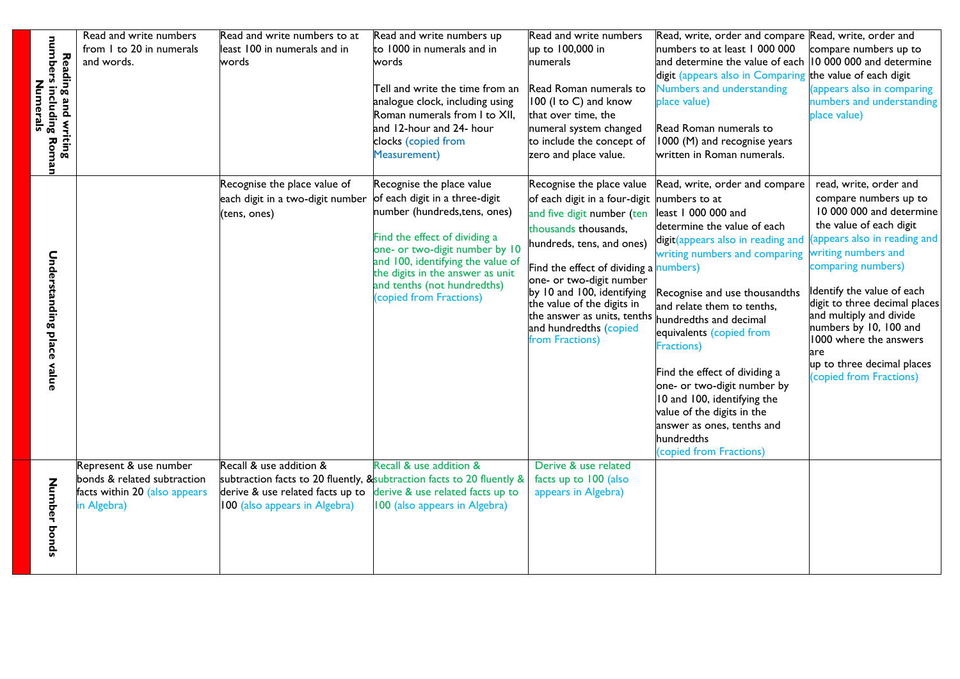|                                                | Read and write numbers        | Read and write numbers to at                                           | Read and write numbers up                                           | Read and write numbers                                    | Read, write, order and compare Read, write, order and     |                                                          |
|------------------------------------------------|-------------------------------|------------------------------------------------------------------------|---------------------------------------------------------------------|-----------------------------------------------------------|-----------------------------------------------------------|----------------------------------------------------------|
|                                                | from 1 to 20 in numerals      | least 100 in numerals and in                                           | to 1000 in numerals and in                                          | up to 100,000 in                                          | numbers to at least 1 000 000                             | compare numbers up to                                    |
|                                                | and words.                    | words                                                                  | words                                                               | numerals                                                  | and determine the value of each  10 000 000 and determine |                                                          |
|                                                |                               |                                                                        |                                                                     |                                                           | digit (appears also in Comparing the value of each digit  |                                                          |
|                                                |                               |                                                                        | Tell and write the time from an                                     | Read Roman numerals to                                    | Numbers and understanding                                 | appears also in comparing                                |
| Numerals                                       |                               |                                                                        | analogue clock, including using                                     | 100 (I to C) and know                                     | place value)                                              | numbers and understanding                                |
|                                                |                               |                                                                        | Roman numerals from I to XII,                                       | that over time, the                                       |                                                           | place value)                                             |
|                                                |                               |                                                                        | and 12-hour and 24- hour                                            | numeral system changed                                    | Read Roman numerals to                                    |                                                          |
|                                                |                               |                                                                        | clocks (copied from                                                 | to include the concept of                                 | 1000 (M) and recognise years                              |                                                          |
| Reading and writing<br>numbers including Roman |                               |                                                                        | <b>Measurement</b> )                                                | zero and place value.                                     | written in Roman numerals.                                |                                                          |
|                                                |                               |                                                                        |                                                                     |                                                           |                                                           |                                                          |
|                                                |                               | Recognise the place value of                                           | Recognise the place value                                           | Recognise the place value                                 | Read, write, order and compare                            | read, write, order and                                   |
|                                                |                               | each digit in a two-digit number                                       | of each digit in a three-digit                                      | of each digit in a four-digit                             | numbers to at                                             | compare numbers up to                                    |
|                                                |                               | (tens, ones)                                                           | number (hundreds, tens, ones)                                       | and five digit number (ten                                | least 1 000 000 and                                       | 10 000 000 and determine                                 |
|                                                |                               |                                                                        |                                                                     | thousands thousands,                                      | determine the value of each                               | the value of each digit                                  |
|                                                |                               |                                                                        | Find the effect of dividing a                                       | hundreds, tens, and ones)                                 | digit (appears also in reading and                        | appears also in reading and                              |
|                                                |                               |                                                                        | one- or two-digit number by 10<br>and 100, identifying the value of |                                                           | writing numbers and comparing                             | writing numbers and                                      |
|                                                |                               |                                                                        | the digits in the answer as unit                                    | Find the effect of dividing a numbers)                    |                                                           | comparing numbers)                                       |
|                                                |                               |                                                                        | and tenths (not hundredths)                                         | one- or two-digit number                                  |                                                           |                                                          |
|                                                |                               |                                                                        | (copied from Fractions)                                             | by 10 and 100, identifying                                | Recognise and use thousandths                             | Identify the value of each                               |
|                                                |                               |                                                                        |                                                                     | the value of the digits in<br>the answer as units, tenths | and relate them to tenths.                                | digit to three decimal places<br>and multiply and divide |
|                                                |                               |                                                                        |                                                                     | and hundredths (copied                                    | hundredths and decimal                                    | numbers by 10, 100 and                                   |
|                                                |                               |                                                                        |                                                                     | from Fractions)                                           | equivalents (copied from                                  | 1000 where the answers                                   |
|                                                |                               |                                                                        |                                                                     |                                                           | Fractions)                                                | are                                                      |
| Understanding place value                      |                               |                                                                        |                                                                     |                                                           |                                                           | up to three decimal places                               |
|                                                |                               |                                                                        |                                                                     |                                                           | Find the effect of dividing a                             | copied from Fractions)                                   |
|                                                |                               |                                                                        |                                                                     |                                                           | one- or two-digit number by                               |                                                          |
|                                                |                               |                                                                        |                                                                     |                                                           | 10 and 100, identifying the<br>value of the digits in the |                                                          |
|                                                |                               |                                                                        |                                                                     |                                                           | answer as ones, tenths and                                |                                                          |
|                                                |                               |                                                                        |                                                                     |                                                           | hundredths                                                |                                                          |
|                                                |                               |                                                                        |                                                                     |                                                           | (copied from Fractions)                                   |                                                          |
|                                                | Represent & use number        | Recall & use addition &                                                | Recall & use addition &                                             | Derive & use related                                      |                                                           |                                                          |
|                                                | bonds & related subtraction   | subtraction facts to 20 fluently, & subtraction facts to 20 fluently & |                                                                     | facts up to 100 (also                                     |                                                           |                                                          |
|                                                | facts within 20 (also appears | derive & use related facts up to                                       | derive & use related facts up to                                    | appears in Algebra)                                       |                                                           |                                                          |
|                                                | in Algebra)                   | 100 (also appears in Algebra)                                          | 100 (also appears in Algebra)                                       |                                                           |                                                           |                                                          |
|                                                |                               |                                                                        |                                                                     |                                                           |                                                           |                                                          |
|                                                |                               |                                                                        |                                                                     |                                                           |                                                           |                                                          |
| Number bonds                                   |                               |                                                                        |                                                                     |                                                           |                                                           |                                                          |
|                                                |                               |                                                                        |                                                                     |                                                           |                                                           |                                                          |
|                                                |                               |                                                                        |                                                                     |                                                           |                                                           |                                                          |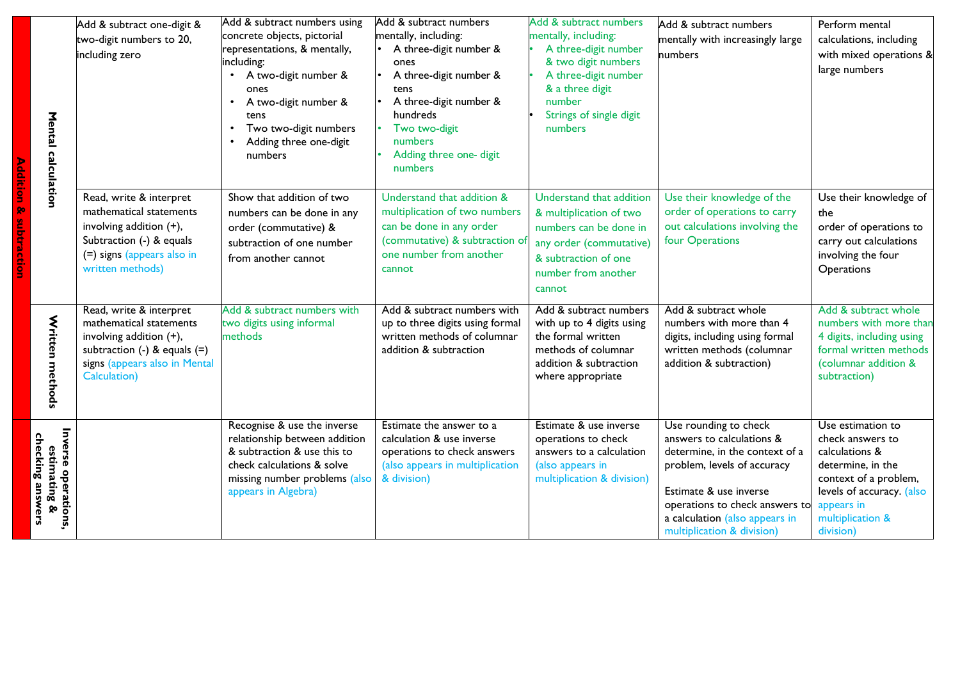| Mental<br>calculation                                   | Add & subtract one-digit &<br>two-digit numbers to 20,<br>including zero                                                                                           | Add & subtract numbers using<br>concrete objects, pictorial<br>representations, & mentally,<br>including:<br>A two-digit number &<br>ones<br>A two-digit number &<br>tens<br>Two two-digit numbers<br>Adding three one-digit<br>numbers | Add & subtract numbers<br>mentally, including:<br>A three-digit number &<br>ones<br>A three-digit number &<br>tens<br>A three-digit number &<br>hundreds<br>Two two-digit<br>numbers<br>Adding three one- digit<br>numbers | Add & subtract numbers<br>mentally, including:<br>A three-digit number<br>& two digit numbers<br>A three-digit number<br>& a three digit<br>number<br>Strings of single digit<br>numbers | Add & subtract numbers<br>mentally with increasingly large<br>numbers                                                                                                                                                                           | Perform mental<br>calculations, including<br>with mixed operations &<br>large numbers                                                                                             |
|---------------------------------------------------------|--------------------------------------------------------------------------------------------------------------------------------------------------------------------|-----------------------------------------------------------------------------------------------------------------------------------------------------------------------------------------------------------------------------------------|----------------------------------------------------------------------------------------------------------------------------------------------------------------------------------------------------------------------------|------------------------------------------------------------------------------------------------------------------------------------------------------------------------------------------|-------------------------------------------------------------------------------------------------------------------------------------------------------------------------------------------------------------------------------------------------|-----------------------------------------------------------------------------------------------------------------------------------------------------------------------------------|
|                                                         | Read, write & interpret<br>mathematical statements<br>involving addition (+),<br>Subtraction (-) & equals<br>(=) signs (appears also in<br>written methods)        | Show that addition of two<br>numbers can be done in any<br>order (commutative) &<br>subtraction of one number<br>from another cannot                                                                                                    | Understand that addition &<br>multiplication of two numbers<br>can be done in any order<br>(commutative) & subtraction of<br>one number from another<br>cannot                                                             | Understand that addition<br>& multiplication of two<br>numbers can be done in<br>any order (commutative)<br>& subtraction of one<br>number from another<br>cannot                        | Use their knowledge of the<br>order of operations to carry<br>out calculations involving the<br>four Operations                                                                                                                                 | Use their knowledge of<br>the<br>order of operations to<br>carry out calculations<br>involving the four<br>Operations                                                             |
| Written methods                                         | Read, write & interpret<br>mathematical statements<br>involving addition (+),<br>subtraction $(-)$ & equals $(=)$<br>signs (appears also in Mental<br>Calculation) | Add & subtract numbers with<br>two digits using informal<br>methods                                                                                                                                                                     | Add & subtract numbers with<br>up to three digits using formal<br>written methods of columnar<br>addition & subtraction                                                                                                    | Add & subtract numbers<br>with up to 4 digits using<br>the formal written<br>methods of columnar<br>addition & subtraction<br>where appropriate                                          | Add & subtract whole<br>numbers with more than 4<br>digits, including using formal<br>written methods (columnar<br>addition & subtraction)                                                                                                      | Add & subtract whole<br>numbers with more than<br>4 digits, including using<br>formal written methods<br>(columnar addition &<br>subtraction)                                     |
| Inverse operations,<br>estimating &<br>checking answers |                                                                                                                                                                    | Recognise & use the inverse<br>relationship between addition<br>& subtraction & use this to<br>check calculations & solve<br>missing number problems (also<br>appears in Algebra)                                                       | Estimate the answer to a<br>calculation & use inverse<br>operations to check answers<br>(also appears in multiplication<br>& division)                                                                                     | Estimate & use inverse<br>operations to check<br>answers to a calculation<br>(also appears in<br>multiplication & division)                                                              | Use rounding to check<br>answers to calculations &<br>determine, in the context of a<br>problem, levels of accuracy<br>Estimate & use inverse<br>operations to check answers to<br>a calculation (also appears in<br>multiplication & division) | Use estimation to<br>check answers to<br>calculations &<br>determine, in the<br>context of a problem,<br>levels of accuracy. (also<br>appears in<br>multiplication &<br>division) |

**Addition & subtraction**

**Addition & subtraction**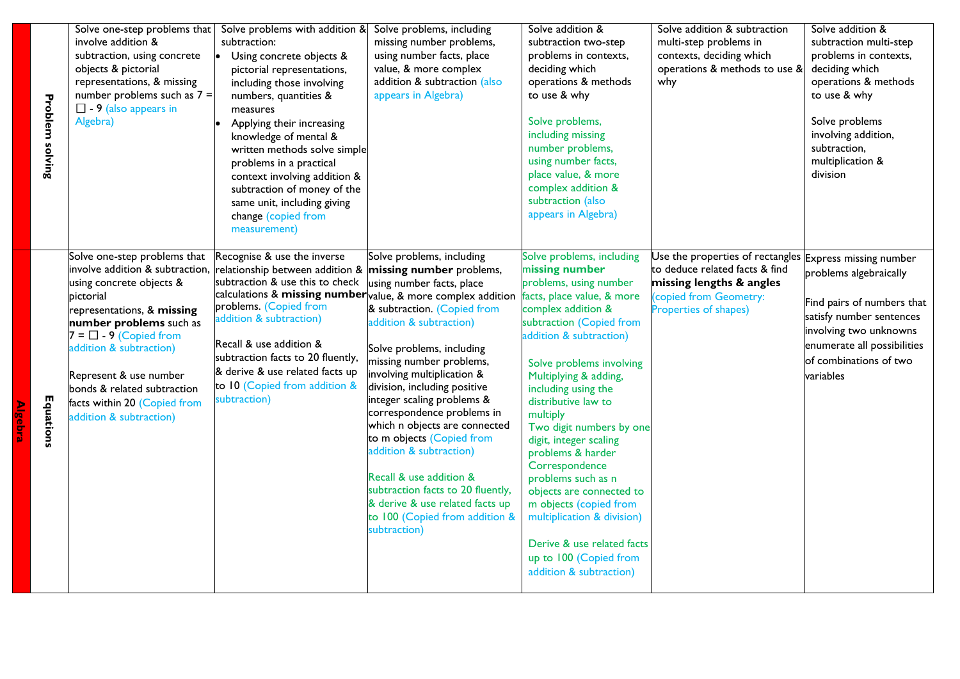| <b>Problem solving</b> | involve addition &<br>subtraction, using concrete<br>objects & pictorial<br>representations, & missing<br>number problems such as $7 =$<br>$\Box$ - 9 (also appears in<br>Algebra)                                                                                                                                                                 | Solve one-step problems that Solve problems with addition $\&$ Solve problems, including<br>subtraction:<br>Using concrete objects &<br>pictorial representations,<br>including those involving<br>numbers, quantities &<br>measures<br>Applying their increasing<br>knowledge of mental &<br>written methods solve simple<br>problems in a practical<br>context involving addition &<br>subtraction of money of the<br>same unit, including giving<br>change (copied from | missing number problems,<br>using number facts, place<br>value, & more complex<br>addition & subtraction (also<br>appears in Algebra)                                                                                                                                                                                                                                                                                                                                                                                                                                         | Solve addition &<br>subtraction two-step<br>problems in contexts,<br>deciding which<br>operations & methods<br>to use & why<br>Solve problems,<br>including missing<br>number problems,<br>using number facts,<br>place value, & more<br>complex addition &<br>subtraction (also<br>appears in Algebra)                                                                                                                                                                                                                                                                                   | Solve addition & subtraction<br>multi-step problems in<br>contexts, deciding which<br>operations & methods to use &<br>why                                              | Solve addition &<br>subtraction multi-step<br>problems in contexts,<br>deciding which<br>operations & methods<br>to use & why<br>Solve problems<br>involving addition,<br>subtraction,<br>multiplication &<br>division |
|------------------------|----------------------------------------------------------------------------------------------------------------------------------------------------------------------------------------------------------------------------------------------------------------------------------------------------------------------------------------------------|----------------------------------------------------------------------------------------------------------------------------------------------------------------------------------------------------------------------------------------------------------------------------------------------------------------------------------------------------------------------------------------------------------------------------------------------------------------------------|-------------------------------------------------------------------------------------------------------------------------------------------------------------------------------------------------------------------------------------------------------------------------------------------------------------------------------------------------------------------------------------------------------------------------------------------------------------------------------------------------------------------------------------------------------------------------------|-------------------------------------------------------------------------------------------------------------------------------------------------------------------------------------------------------------------------------------------------------------------------------------------------------------------------------------------------------------------------------------------------------------------------------------------------------------------------------------------------------------------------------------------------------------------------------------------|-------------------------------------------------------------------------------------------------------------------------------------------------------------------------|------------------------------------------------------------------------------------------------------------------------------------------------------------------------------------------------------------------------|
| Equations              | Solve one-step problems that<br>involve addition & subtraction,<br>using concrete objects &<br>pictorial<br>representations, & missing<br>number problems such as<br>$7 = \square - 9$ (Copied from<br>addition & subtraction)<br>Represent & use number<br>bonds & related subtraction<br>facts within 20 (Copied from<br>addition & subtraction) | measurement)<br>Recognise & use the inverse<br>relationship between addition &<br>subtraction & use this to check<br>calculations & missing number value, & more complex addition<br>problems. (Copied from<br>addition & subtraction)<br>Recall & use addition &<br>subtraction facts to 20 fluently,<br>& derive & use related facts up<br>to 10 (Copied from addition &<br>subtraction)                                                                                 | Solve problems, including<br>missing number problems,<br>using number facts, place<br>& subtraction. (Copied from<br>addition & subtraction)<br>Solve problems, including<br>missing number problems,<br>involving multiplication &<br>division, including positive<br>integer scaling problems &<br>correspondence problems in<br>which n objects are connected<br>to m objects (Copied from<br>addition & subtraction)<br>Recall & use addition &<br>subtraction facts to 20 fluently,<br>& derive & use related facts up<br>to 100 (Copied from addition &<br>subtraction) | Solve problems, including<br>missing number<br>problems, using number<br>facts, place value, & more<br>complex addition &<br>subtraction (Copied from<br>addition & subtraction)<br>Solve problems involving<br>Multiplying & adding,<br>including using the<br>distributive law to<br>multiply<br>Two digit numbers by one<br>digit, integer scaling<br>problems & harder<br>Correspondence<br>problems such as n<br>objects are connected to<br>m objects (copied from<br>multiplication & division)<br>Derive & use related facts<br>up to 100 (Copied from<br>addition & subtraction) | Use the properties of rectangles Express missing number<br>to deduce related facts & find<br>missing lengths & angles<br>copied from Geometry:<br>Properties of shapes) | problems algebraically<br>Find pairs of numbers that<br>satisfy number sentences<br>involving two unknowns<br>enumerate all possibilities<br>of combinations of two<br>variables                                       |

**Algebra**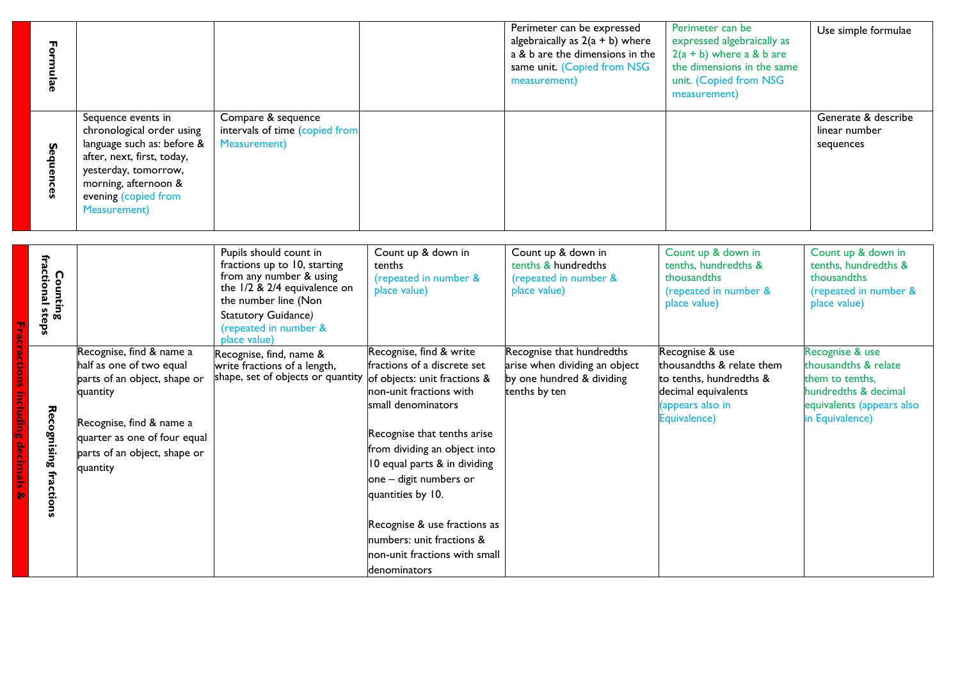| Formulae                                             |                                                                                                                                                                                                             |                                                                                                                                                                                                               |                                                                                                                                                                                                                                                                                                                                                                                                     | Perimeter can be expressed<br>algebraically as $2(a + b)$ where<br>a & b are the dimensions in the<br>same unit. (Copied from NSG<br>measurement) | Perimeter can be<br>expressed algebraically as<br>$2(a + b)$ where a & b are<br>the dimensions in the same<br>unit. (Copied from NSG<br>measurement) | Use simple formulae                                                                                                                |
|------------------------------------------------------|-------------------------------------------------------------------------------------------------------------------------------------------------------------------------------------------------------------|---------------------------------------------------------------------------------------------------------------------------------------------------------------------------------------------------------------|-----------------------------------------------------------------------------------------------------------------------------------------------------------------------------------------------------------------------------------------------------------------------------------------------------------------------------------------------------------------------------------------------------|---------------------------------------------------------------------------------------------------------------------------------------------------|------------------------------------------------------------------------------------------------------------------------------------------------------|------------------------------------------------------------------------------------------------------------------------------------|
| Sequences                                            | Sequence events in<br>chronological order using<br>language such as: before &<br>after, next, first, today,<br>yesterday, tomorrow,<br>morning, afternoon &<br>evening (copied from<br><b>Measurement</b> ) | Compare & sequence<br>intervals of time (copied from<br><b>Measurement</b> )                                                                                                                                  |                                                                                                                                                                                                                                                                                                                                                                                                     |                                                                                                                                                   |                                                                                                                                                      | Generate & describe<br>linear number<br>sequences                                                                                  |
| fractional steps<br>Counting                         |                                                                                                                                                                                                             | Pupils should count in<br>fractions up to 10, starting<br>from any number & using<br>the $1/2$ & $2/4$ equivalence on<br>the number line (Non<br>Statutory Guidance)<br>(repeated in number &<br>place value) | Count up & down in<br>tenths<br>(repeated in number &<br>place value)                                                                                                                                                                                                                                                                                                                               | Count up & down in<br>tenths & hundredths<br>(repeated in number &<br>place value)                                                                | Count up & down in<br>tenths, hundredths &<br>thousandths<br>(repeated in number &<br>place value)                                                   | Count up & down in<br>tenths, hundredths &<br>thousandths<br>(repeated in number &<br>place value)                                 |
| including<br>Recognising fractions<br>decimals<br>٥o | Recognise, find & name a<br>half as one of two equal<br>parts of an object, shape or<br>quantity<br>Recognise, find & name a<br>quarter as one of four equal<br>parts of an object, shape or<br>quantity    | Recognise, find, name &<br>write fractions of a length,<br>shape, set of objects or quantity                                                                                                                  | Recognise, find & write<br>fractions of a discrete set<br>of objects: unit fractions &<br>non-unit fractions with<br>small denominators<br>Recognise that tenths arise<br>from dividing an object into<br>10 equal parts & in dividing<br>one - digit numbers or<br>quantities by 10.<br>Recognise & use fractions as<br>numbers: unit fractions &<br>non-unit fractions with small<br>denominators | Recognise that hundredths<br>arise when dividing an object<br>by one hundred & dividing<br>tenths by ten                                          | Recognise & use<br>thousandths & relate them<br>to tenths, hundredths &<br>decimal equivalents<br>(appears also in<br>Equivalence)                   | Recognise & use<br>thousandths & relate<br>them to tenths,<br>hundredths & decimal<br>equivalents (appears also<br>in Equivalence) |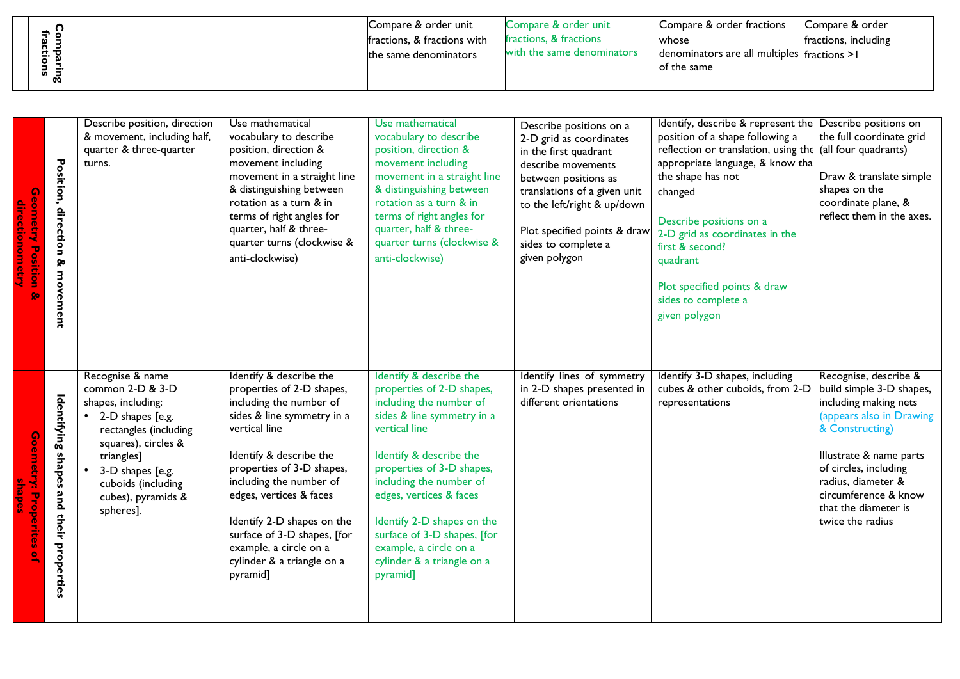|                |  | Compare & order unit        | Compare & order unit       | Compare & order fractions                      | Compare & order      |
|----------------|--|-----------------------------|----------------------------|------------------------------------------------|----------------------|
| ਤੋਂ ਵੇ         |  | fractions, & fractions with | fractions, & fractions     | whose                                          | fractions, including |
| n.<br>로 공<br>o |  | the same denominators       | with the same denominators | denominators are all multiples $fractions > 1$ |                      |
| ದ ವ            |  |                             |                            | lof the same                                   |                      |
| œ              |  |                             |                            |                                                |                      |

| Q<br><b>Position</b><br><b>go</b>  | Position, direction<br>⊗<br>movement       | Describe position, direction<br>& movement, including half,<br>quarter & three-quarter<br>turns.                                                                                                                          | Use mathematical<br>vocabulary to describe<br>position, direction &<br>movement including<br>movement in a straight line<br>& distinguishing between<br>rotation as a turn & in<br>terms of right angles for<br>quarter, half & three-<br>quarter turns (clockwise &<br>anti-clockwise)                                                                                       | Use mathematical<br>vocabulary to describe<br>position, direction &<br>movement including<br>movement in a straight line<br>& distinguishing between<br>rotation as a turn & in<br>terms of right angles for<br>quarter, half & three-<br>quarter turns (clockwise &<br>anti-clockwise)                                                                                       | Describe positions on a<br>2-D grid as coordinates<br>in the first quadrant<br>describe movements<br>between positions as<br>translations of a given unit<br>to the left/right & up/down<br>Plot specified points & draw<br>sides to complete a<br>given polygon | Identify, describe & represent the<br>position of a shape following a<br>reflection or translation, using the<br>appropriate language, & know tha<br>the shape has not<br>changed<br>Describe positions on a<br>2-D grid as coordinates in the<br>first & second?<br>quadrant<br>Plot specified points & draw<br>sides to complete a<br>given polygon | Describe positions on<br>the full coordinate grid<br>(all four quadrants)<br>Draw & translate simple<br>shapes on the<br>coordinate plane, &<br>reflect them in the axes.                                                                                               |
|------------------------------------|--------------------------------------------|---------------------------------------------------------------------------------------------------------------------------------------------------------------------------------------------------------------------------|-------------------------------------------------------------------------------------------------------------------------------------------------------------------------------------------------------------------------------------------------------------------------------------------------------------------------------------------------------------------------------|-------------------------------------------------------------------------------------------------------------------------------------------------------------------------------------------------------------------------------------------------------------------------------------------------------------------------------------------------------------------------------|------------------------------------------------------------------------------------------------------------------------------------------------------------------------------------------------------------------------------------------------------------------|-------------------------------------------------------------------------------------------------------------------------------------------------------------------------------------------------------------------------------------------------------------------------------------------------------------------------------------------------------|-------------------------------------------------------------------------------------------------------------------------------------------------------------------------------------------------------------------------------------------------------------------------|
| Goernetry:<br><b>Properites of</b> | Identifying shapes<br>and their properties | Recognise & name<br>common 2-D & 3-D<br>shapes, including:<br>2-D shapes [e.g.<br>rectangles (including<br>squares), circles &<br>triangles]<br>3-D shapes [e.g.<br>cuboids (including<br>cubes), pyramids &<br>spheres]. | Identify & describe the<br>properties of 2-D shapes,<br>including the number of<br>sides & line symmetry in a<br>vertical line<br>Identify & describe the<br>properties of 3-D shapes,<br>including the number of<br>edges, vertices & faces<br>Identify 2-D shapes on the<br>surface of 3-D shapes, [for<br>example, a circle on a<br>cylinder & a triangle on a<br>pyramid] | Identify & describe the<br>properties of 2-D shapes,<br>including the number of<br>sides & line symmetry in a<br>vertical line<br>Identify & describe the<br>properties of 3-D shapes,<br>including the number of<br>edges, vertices & faces<br>Identify 2-D shapes on the<br>surface of 3-D shapes, [for<br>example, a circle on a<br>cylinder & a triangle on a<br>pyramid] | Identify lines of symmetry<br>in 2-D shapes presented in<br>different orientations                                                                                                                                                                               | Identify 3-D shapes, including<br>cubes & other cuboids, from 2-D<br>representations                                                                                                                                                                                                                                                                  | Recognise, describe &<br>build simple 3-D shapes,<br>including making nets<br>(appears also in Drawing<br>& Constructing)<br>Illustrate & name parts<br>of circles, including<br>radius, diameter &<br>circumference & know<br>that the diameter is<br>twice the radius |